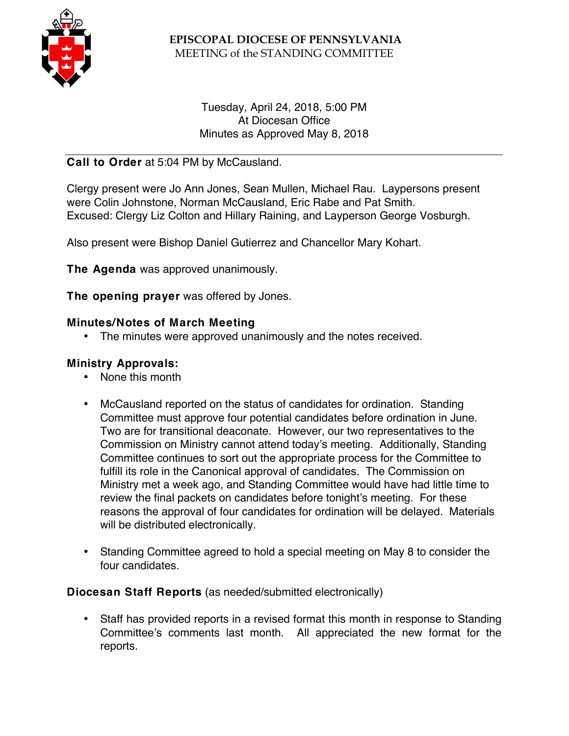

## **EPISCOPAL DIOCESE OF PENNSYLVANIA** MEETING of the STANDING COMMITTEE

## Tuesday, April 24, 2018, 5:00 PM At Diocesan Office Minutes as Approved May 8, 2018

# **Call to Order** at 5:04 PM by McCausland.

Clergy present were Jo Ann Jones, Sean Mullen, Michael Rau. Laypersons present were Colin Johnstone, Norman McCausland, Eric Rabe and Pat Smith. Excused: Clergy Liz Colton and Hillary Raining, and Layperson George Vosburgh.

Also present were Bishop Daniel Gutierrez and Chancellor Mary Kohart.

**The Agenda** was approved unanimously.

**The opening prayer** was offered by Jones.

### **Minutes/Notes of March Meeting**

• The minutes were approved unanimously and the notes received.

## **Ministry Approvals:**

- None this month
- McCausland reported on the status of candidates for ordination. Standing Committee must approve four potential candidates before ordination in June. Two are for transitional deaconate. However, our two representatives to the Commission on Ministry cannot attend today's meeting. Additionally, Standing Committee continues to sort out the appropriate process for the Committee to fulfill its role in the Canonical approval of candidates. The Commission on Ministry met a week ago, and Standing Committee would have had little time to review the final packets on candidates before tonight's meeting. For these reasons the approval of four candidates for ordination will be delayed. Materials will be distributed electronically.
- Standing Committee agreed to hold a special meeting on May 8 to consider the four candidates.

### **Diocesan Staff Reports** (as needed/submitted electronically)

• Staff has provided reports in a revised format this month in response to Standing Committee's comments last month. All appreciated the new format for the reports.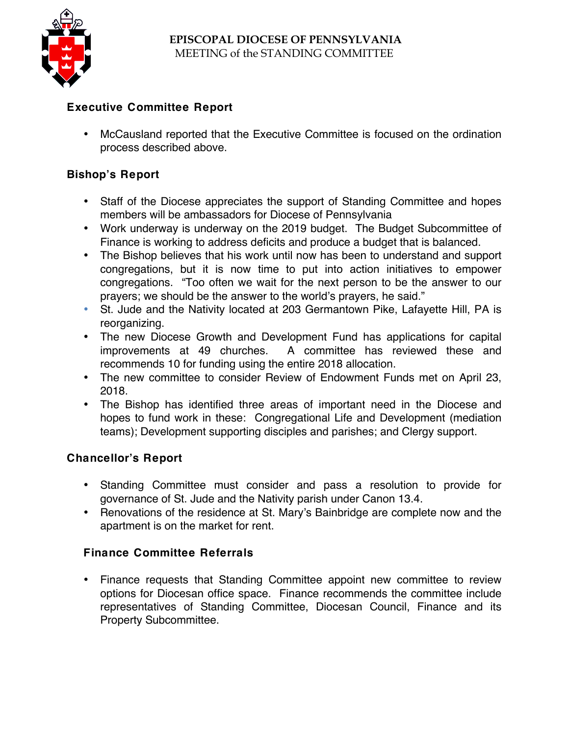

# **Executive Committee Report**

• McCausland reported that the Executive Committee is focused on the ordination process described above.

# **Bishop's Report**

- Staff of the Diocese appreciates the support of Standing Committee and hopes members will be ambassadors for Diocese of Pennsylvania
- Work underway is underway on the 2019 budget. The Budget Subcommittee of Finance is working to address deficits and produce a budget that is balanced.
- The Bishop believes that his work until now has been to understand and support congregations, but it is now time to put into action initiatives to empower congregations. "Too often we wait for the next person to be the answer to our prayers; we should be the answer to the world's prayers, he said."
- St. Jude and the Nativity located at 203 Germantown Pike, Lafayette Hill, PA is reorganizing.
- The new Diocese Growth and Development Fund has applications for capital improvements at 49 churches. A committee has reviewed these and recommends 10 for funding using the entire 2018 allocation.
- The new committee to consider Review of Endowment Funds met on April 23, 2018.
- The Bishop has identified three areas of important need in the Diocese and hopes to fund work in these: Congregational Life and Development (mediation teams); Development supporting disciples and parishes; and Clergy support.

## **Chancellor's Report**

- Standing Committee must consider and pass a resolution to provide for governance of St. Jude and the Nativity parish under Canon 13.4.
- Renovations of the residence at St. Mary's Bainbridge are complete now and the apartment is on the market for rent.

## **Finance Committee Referrals**

• Finance requests that Standing Committee appoint new committee to review options for Diocesan office space. Finance recommends the committee include representatives of Standing Committee, Diocesan Council, Finance and its Property Subcommittee.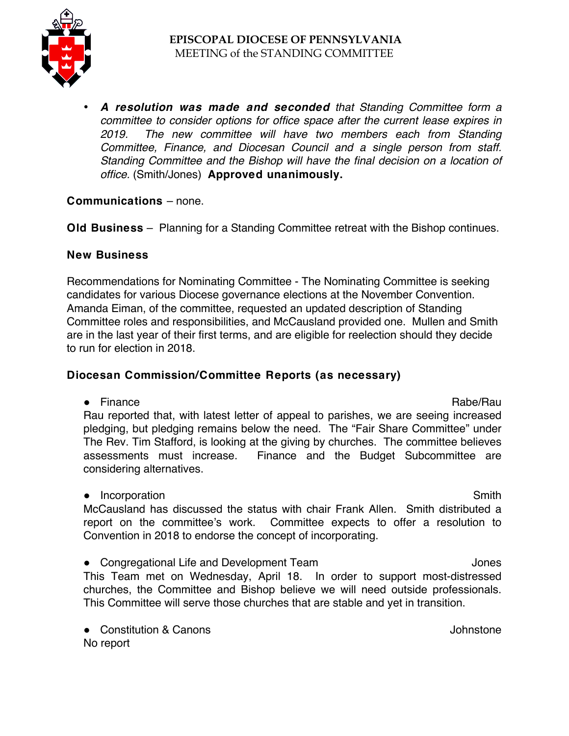

• *A resolution was made and seconded that Standing Committee form a committee to consider options for office space after the current lease expires in 2019. The new committee will have two members each from Standing Committee, Finance, and Diocesan Council and a single person from staff. Standing Committee and the Bishop will have the final decision on a location of office.* (Smith/Jones) **Approved unanimously.**

### **Communications** – none.

**Old Business** – Planning for a Standing Committee retreat with the Bishop continues.

### **New Business**

Recommendations for Nominating Committee - The Nominating Committee is seeking candidates for various Diocese governance elections at the November Convention. Amanda Eiman, of the committee, requested an updated description of Standing Committee roles and responsibilities, and McCausland provided one. Mullen and Smith are in the last year of their first terms, and are eligible for reelection should they decide to run for election in 2018.

## **Diocesan Commission/Committee Reports (as necessary)**

● Finance Rabe/Rau Rau reported that, with latest letter of appeal to parishes, we are seeing increased pledging, but pledging remains below the need. The "Fair Share Committee" under The Rev. Tim Stafford, is looking at the giving by churches. The committee believes assessments must increase. Finance and the Budget Subcommittee are considering alternatives.

● Incorporation Smith McCausland has discussed the status with chair Frank Allen. Smith distributed a report on the committee's work. Committee expects to offer a resolution to Convention in 2018 to endorse the concept of incorporating.

● Congregational Life and Development Team  $\blacksquare$ This Team met on Wednesday, April 18. In order to support most-distressed churches, the Committee and Bishop believe we will need outside professionals. This Committee will serve those churches that are stable and yet in transition.

● Constitution & Canons **Johnstone** No report